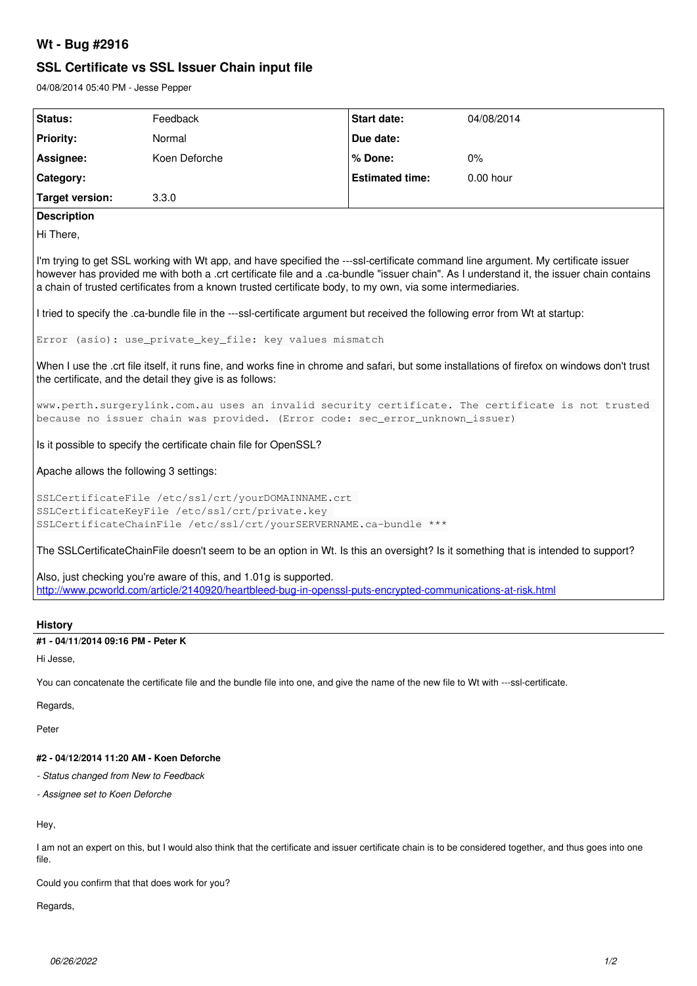## **Wt - Bug #2916**

# **SSL Certificate vs SSL Issuer Chain input file**

04/08/2014 05:40 PM - Jesse Pepper

| Status:                                                                                                                                                                                                                                                                                                                                                                                                                                                                                                                       | Feedback      | <b>Start date:</b>     | 04/08/2014  |
|-------------------------------------------------------------------------------------------------------------------------------------------------------------------------------------------------------------------------------------------------------------------------------------------------------------------------------------------------------------------------------------------------------------------------------------------------------------------------------------------------------------------------------|---------------|------------------------|-------------|
|                                                                                                                                                                                                                                                                                                                                                                                                                                                                                                                               |               |                        |             |
| <b>Priority:</b>                                                                                                                                                                                                                                                                                                                                                                                                                                                                                                              | Normal        | Due date:              |             |
| Assignee:                                                                                                                                                                                                                                                                                                                                                                                                                                                                                                                     | Koen Deforche | % Done:                | 0%          |
| Category:                                                                                                                                                                                                                                                                                                                                                                                                                                                                                                                     |               | <b>Estimated time:</b> | $0.00$ hour |
| <b>Target version:</b>                                                                                                                                                                                                                                                                                                                                                                                                                                                                                                        | 3.3.0         |                        |             |
| <b>Description</b>                                                                                                                                                                                                                                                                                                                                                                                                                                                                                                            |               |                        |             |
| Hi There,                                                                                                                                                                                                                                                                                                                                                                                                                                                                                                                     |               |                        |             |
| I'm trying to get SSL working with Wt app, and have specified the ---ssl-certificate command line argument. My certificate issuer<br>however has provided me with both a .crt certificate file and a .ca-bundle "issuer chain". As I understand it, the issuer chain contains<br>a chain of trusted certificates from a known trusted certificate body, to my own, via some intermediaries.<br>I tried to specify the .ca-bundle file in the ---ssl-certificate argument but received the following error from Wt at startup: |               |                        |             |
|                                                                                                                                                                                                                                                                                                                                                                                                                                                                                                                               |               |                        |             |
| Error (asio): use_private_key_file: key values mismatch                                                                                                                                                                                                                                                                                                                                                                                                                                                                       |               |                        |             |
| When I use the .crt file itself, it runs fine, and works fine in chrome and safari, but some installations of firefox on windows don't trust<br>the certificate, and the detail they give is as follows:                                                                                                                                                                                                                                                                                                                      |               |                        |             |
| www.perth.surgerylink.com.au uses an invalid security certificate. The certificate is not trusted<br>because no issuer chain was provided. (Error code: sec_error_unknown_issuer)                                                                                                                                                                                                                                                                                                                                             |               |                        |             |
| Is it possible to specify the certificate chain file for OpenSSL?                                                                                                                                                                                                                                                                                                                                                                                                                                                             |               |                        |             |
| Apache allows the following 3 settings:                                                                                                                                                                                                                                                                                                                                                                                                                                                                                       |               |                        |             |
| SSLCertificateFile /etc/ssl/crt/yourDOMAINNAME.crt<br>SSLCertificateKeyFile /etc/ssl/crt/private.key<br>SSLCertificateChainFile /etc/ssl/crt/yourSERVERNAME.ca-bundle ***                                                                                                                                                                                                                                                                                                                                                     |               |                        |             |
| The SSLCertificateChainFile doesn't seem to be an option in Wt. Is this an oversight? Is it something that is intended to support?                                                                                                                                                                                                                                                                                                                                                                                            |               |                        |             |
| Also, just checking you're aware of this, and 1.01g is supported.<br>http://www.pcworld.com/article/2140920/heartbleed-bug-in-openssl-puts-encrypted-communications-at-risk.html                                                                                                                                                                                                                                                                                                                                              |               |                        |             |

## **History**

#### **#1 - 04/11/2014 09:16 PM - Peter K**

Hi Jesse,

You can concatenate the certificate file and the bundle file into one, and give the name of the new file to Wt with ---ssl-certificate.

Regards,

Peter

#### **#2 - 04/12/2014 11:20 AM - Koen Deforche**

*- Status changed from New to Feedback*

*- Assignee set to Koen Deforche*

Hey,

I am not an expert on this, but I would also think that the certificate and issuer certificate chain is to be considered together, and thus goes into one file.

Could you confirm that that does work for you?

Regards,